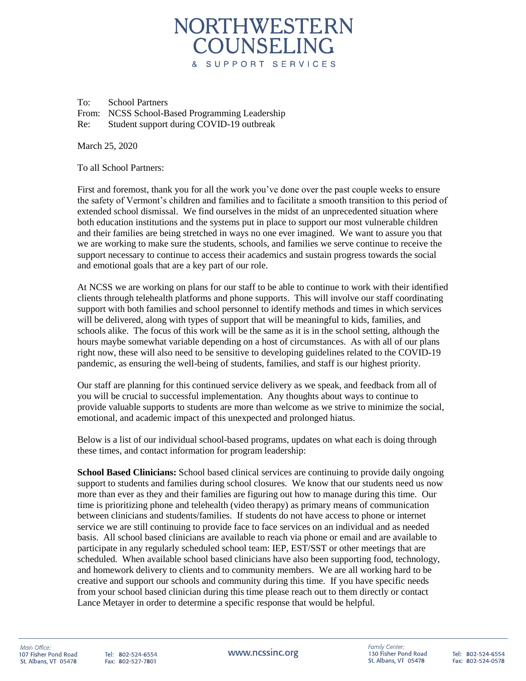## NORTHWESTERN COUNSELING & SUPPORT SERVICES

To: School Partners From: NCSS School-Based Programming Leadership Re: Student support during COVID-19 outbreak

March 25, 2020

To all School Partners:

First and foremost, thank you for all the work you've done over the past couple weeks to ensure the safety of Vermont's children and families and to facilitate a smooth transition to this period of extended school dismissal. We find ourselves in the midst of an unprecedented situation where both education institutions and the systems put in place to support our most vulnerable children and their families are being stretched in ways no one ever imagined. We want to assure you that we are working to make sure the students, schools, and families we serve continue to receive the support necessary to continue to access their academics and sustain progress towards the social and emotional goals that are a key part of our role.

At NCSS we are working on plans for our staff to be able to continue to work with their identified clients through telehealth platforms and phone supports. This will involve our staff coordinating support with both families and school personnel to identify methods and times in which services will be delivered, along with types of support that will be meaningful to kids, families, and schools alike. The focus of this work will be the same as it is in the school setting, although the hours maybe somewhat variable depending on a host of circumstances. As with all of our plans right now, these will also need to be sensitive to developing guidelines related to the COVID-19 pandemic, as ensuring the well-being of students, families, and staff is our highest priority.

Our staff are planning for this continued service delivery as we speak, and feedback from all of you will be crucial to successful implementation. Any thoughts about ways to continue to provide valuable supports to students are more than welcome as we strive to minimize the social, emotional, and academic impact of this unexpected and prolonged hiatus.

Below is a list of our individual school-based programs, updates on what each is doing through these times, and contact information for program leadership:

**School Based Clinicians:** School based clinical services are continuing to provide daily ongoing support to students and families during school closures. We know that our students need us now more than ever as they and their families are figuring out how to manage during this time. Our time is prioritizing phone and telehealth (video therapy) as primary means of communication between clinicians and students/families. If students do not have access to phone or internet service we are still continuing to provide face to face services on an individual and as needed basis. All school based clinicians are available to reach via phone or email and are available to participate in any regularly scheduled school team: IEP, EST/SST or other meetings that are scheduled. When available school based clinicians have also been supporting food, technology, and homework delivery to clients and to community members. We are all working hard to be creative and support our schools and community during this time. If you have specific needs from your school based clinician during this time please reach out to them directly or contact Lance Metayer in order to determine a specific response that would be helpful.

Tel: 802-524-6554 Fax: 802-527-7801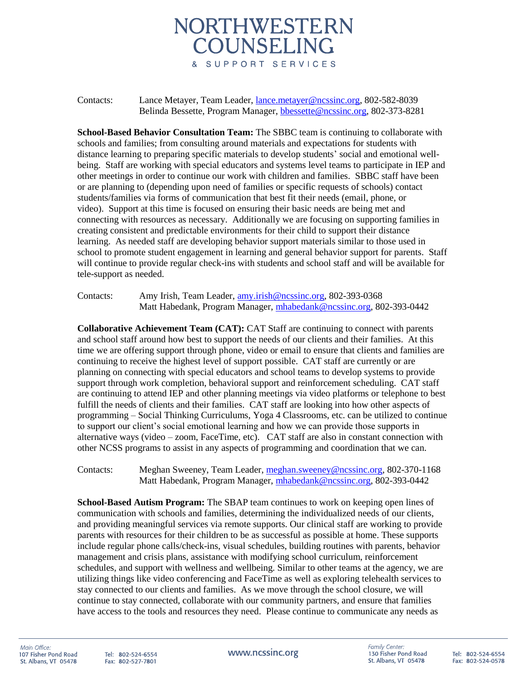## NORTHWESTERN COUNSELING & SUPPORT SERVICES

## Contacts: Lance Metayer, Team Leader, [lance.metayer@ncssinc.org,](mailto:lance.metayer@ncssinc.org) 802-582-8039 Belinda Bessette, Program Manager, [bbessette@ncssinc.org,](mailto:bbessette@ncssinc.org) 802-373-8281

**School-Based Behavior Consultation Team:** The SBBC team is continuing to collaborate with schools and families; from consulting around materials and expectations for students with distance learning to preparing specific materials to develop students' social and emotional wellbeing. Staff are working with special educators and systems level teams to participate in IEP and other meetings in order to continue our work with children and families. SBBC staff have been or are planning to (depending upon need of families or specific requests of schools) contact students/families via forms of communication that best fit their needs (email, phone, or video). Support at this time is focused on ensuring their basic needs are being met and connecting with resources as necessary. Additionally we are focusing on supporting families in creating consistent and predictable environments for their child to support their distance learning. As needed staff are developing behavior support materials similar to those used in school to promote student engagement in learning and general behavior support for parents. Staff will continue to provide regular check-ins with students and school staff and will be available for tele-support as needed.

Contacts: Amy Irish, Team Leader, [amy.irish@ncssinc.org,](mailto:amy.irish@ncssinc.org) 802-393-0368 Matt Habedank, Program Manager, [mhabedank@ncssinc.org,](mailto:mhabedank@ncssinc.org) 802-393-0442

**Collaborative Achievement Team (CAT):** CAT Staff are continuing to connect with parents and school staff around how best to support the needs of our clients and their families. At this time we are offering support through phone, video or email to ensure that clients and families are continuing to receive the highest level of support possible. CAT staff are currently or are planning on connecting with special educators and school teams to develop systems to provide support through work completion, behavioral support and reinforcement scheduling. CAT staff are continuing to attend IEP and other planning meetings via video platforms or telephone to best fulfill the needs of clients and their families. CAT staff are looking into how other aspects of programming – Social Thinking Curriculums, Yoga 4 Classrooms, etc. can be utilized to continue to support our client's social emotional learning and how we can provide those supports in alternative ways (video – zoom, FaceTime, etc). CAT staff are also in constant connection with other NCSS programs to assist in any aspects of programming and coordination that we can.

Contacts: Meghan Sweeney, Team Leader, [meghan.sweeney@ncssinc.org,](mailto:meghan.sweeney@ncssinc.org) 802-370-1168 Matt Habedank, Program Manager, [mhabedank@ncssinc.org,](mailto:mhabedank@ncssinc.org) 802-393-0442

**School-Based Autism Program:** The SBAP team continues to work on keeping open lines of communication with schools and families, determining the individualized needs of our clients, and providing meaningful services via remote supports. Our clinical staff are working to provide parents with resources for their children to be as successful as possible at home. These supports include regular phone calls/check-ins, visual schedules, building routines with parents, behavior management and crisis plans, assistance with modifying school curriculum, reinforcement schedules, and support with wellness and wellbeing. Similar to other teams at the agency, we are utilizing things like video conferencing and FaceTime as well as exploring telehealth services to stay connected to our clients and families. As we move through the school closure, we will continue to stay connected, collaborate with our community partners, and ensure that families have access to the tools and resources they need. Please continue to communicate any needs as

Tel: 802-524-6554 Fax: 802-527-7801 www.ncssinc.org